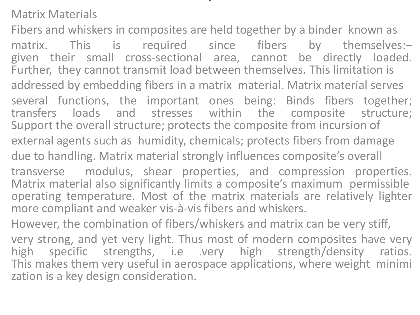Matrix Materials

Fibers and whiskers in composites are held together by a binder known as matrix. This is required since fibers by themselves:given their small cross‐sectional area, cannot be directly loaded. Further, they cannot transmit load between themselves. This limitation is addressed by embedding fibers in a matrix material. Matrix material serves several functions, the important ones being: Binds fibers together; transfers loads and stresses within the composite structure; Support the overall structure; protects the composite from incursion of external agents such as humidity, chemicals; protects fibers from damage due to handling. Matrix material strongly influences composite's overall transverse modulus, shear properties, and compression properties. Matrix material also significantly limits a composite's maximum permissible operating temperature. Most of the matrix materials are relatively lighter more compliant and weaker vis‐à‐vis fibers and whiskers. However, the combination of fibers/whiskers and matrix can be very stiff,

.

very strong, and yet very light. Thus most of modern composites have very high specific strengths, i.e .very high strength/density ratios. This makes them very useful in aerospace applications, where weight minimi zation is a key design consideration.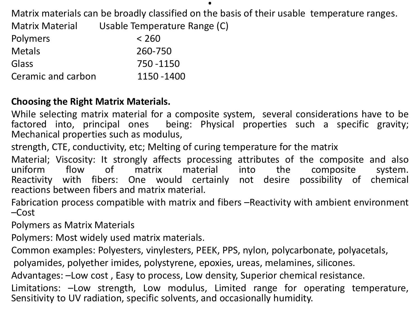Matrix materials can be broadly classified on the basis of their usable temperature ranges.

.

Matrix Material Usable Temperature Range (C)

| <b>Polymers</b>    | < 260      |
|--------------------|------------|
| <b>Metals</b>      | 260-750    |
| Glass              | 750 - 1150 |
| Ceramic and carbon | 1150 -1400 |

## **Choosing the Right Matrix Materials.**

While selecting matrix material for a composite system, several considerations have to be factored into, principal ones being: Physical properties such a specific gravity; Mechanical properties such as modulus,

strength, CTE, conductivity, etc; Melting of curing temperature for the matrix

Material; Viscosity: It strongly affects processing attributes of the composite and also<br>uniform flow of matrix material into the composite system. uniform flow of matrix material into the composite system. Reactivity with fibers: One would certainly not desire possibility of chemical reactions between fibers and matrix material.

Fabrication process compatible with matrix and fibers –Reactivity with ambient environment –Cost

Polymers as Matrix Materials

Polymers: Most widely used matrix materials.

Common examples: Polyesters, vinylesters, PEEK, PPS, nylon, polycarbonate, polyacetals,

polyamides, polyether imides, polystyrene, epoxies, ureas, melamines, silicones.

Advantages: –Low cost , Easy to process, Low density, Superior chemical resistance.

Limitations: –Low strength, Low modulus, Limited range for operating temperature, Sensitivity to UV radiation, specific solvents, and occasionally humidity.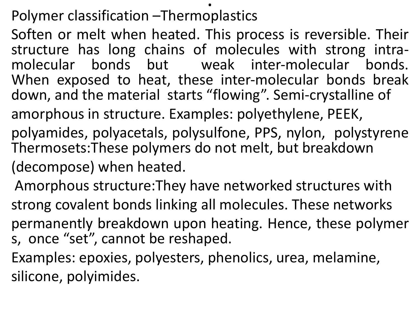## Polymer classification –Thermoplastics

Soften or melt when heated. This process is reversible. Their structure has long chains of molecules with strong intra-<br>molecular bonds but weak inter-molecular bonds. molecular bonds. When exposed to heat, these inter-molecular bonds break down, and the material starts "flowing". Semi‐crystalline of amorphous in structure. Examples: polyethylene, PEEK,

.

polyamides, polyacetals, polysulfone, PPS, nylon, polystyrene Thermosets:These polymers do not melt, but breakdown (decompose) when heated.

Amorphous structure:They have networked structures with strong covalent bonds linking all molecules. These networks permanently breakdown upon heating. Hence, these polymer s, once "set", cannot be reshaped.

Examples: epoxies, polyesters, phenolics, urea, melamine, silicone, polyimides.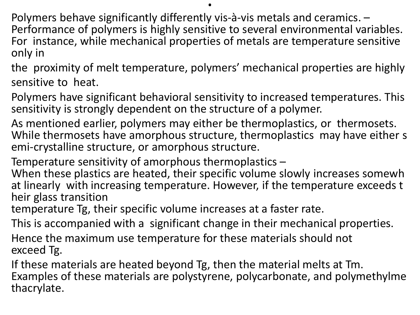.

Polymers behave significantly differently vis‐à‐vis metals and ceramics. – Performance of polymers is highly sensitive to several environmental variables. For instance, while mechanical properties of metals are temperature sensitive only in

the proximity of melt temperature, polymers' mechanical properties are highly sensitive to heat.

Polymers have significant behavioral sensitivity to increased temperatures. This sensitivity is strongly dependent on the structure of a polymer.

As mentioned earlier, polymers may either be thermoplastics, or thermosets. While thermosets have amorphous structure, thermoplastics may have either s emi-crystalline structure, or amorphous structure.

Temperature sensitivity of amorphous thermoplastics –

When these plastics are heated, their specific volume slowly increases somewh at linearly with increasing temperature. However, if the temperature exceeds t heir glass transition

temperature Tg, their specific volume increases at a faster rate.

This is accompanied with a significant change in their mechanical properties.

Hence the maximum use temperature for these materials should not exceed Tg.

If these materials are heated beyond Tg, then the material melts at Tm. Examples of these materials are polystyrene, polycarbonate, and polymethylme thacrylate.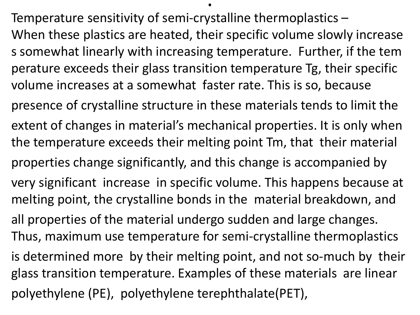Temperature sensitivity of semi‐crystalline thermoplastics – When these plastics are heated, their specific volume slowly increase s somewhat linearly with increasing temperature. Further, if the tem perature exceeds their glass transition temperature Tg, their specific volume increases at a somewhat faster rate. This is so, because presence of crystalline structure in these materials tends to limit the extent of changes in material's mechanical properties. It is only when the temperature exceeds their melting point Tm, that their material properties change significantly, and this change is accompanied by very significant increase in specific volume. This happens because at melting point, the crystalline bonds in the material breakdown, and all properties of the material undergo sudden and large changes. Thus, maximum use temperature for semi‐crystalline thermoplastics is determined more by their melting point, and not so‐much by their glass transition temperature. Examples of these materials are linear polyethylene (PE), polyethylene terephthalate(PET),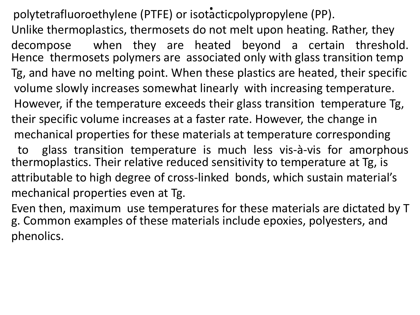polytetrafluoroethylene (PTFE) or isotacticpolypropylene (PP). Unlike thermoplastics, thermosets do not melt upon heating. Rather, they decompose when they are heated beyond a certain threshold. Hence thermosets polymers are associated only with glass transition temp Tg, and have no melting point. When these plastics are heated, their specific volume slowly increases somewhat linearly with increasing temperature. However, if the temperature exceeds their glass transition temperature Tg, their specific volume increases at a faster rate. However, the change in mechanical properties for these materials at temperature corresponding to glass transition temperature is much less vis‐à‐vis for amorphous

thermoplastics. Their relative reduced sensitivity to temperature at Tg, is attributable to high degree of cross‐linked bonds, which sustain material's mechanical properties even at Tg.

Even then, maximum use temperatures for these materials are dictated by T g. Common examples of these materials include epoxies, polyesters, and phenolics.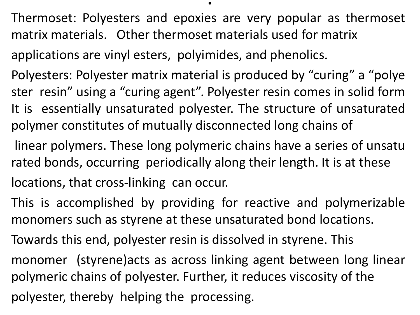Thermoset: Polyesters and epoxies are very popular as thermoset matrix materials. Other thermoset materials used for matrix

.

applications are vinyl esters, polyimides, and phenolics.

Polyesters: Polyester matrix material is produced by "curing" a "polye ster resin" using a "curing agent". Polyester resin comes in solid form It is essentially unsaturated polyester. The structure of unsaturated polymer constitutes of mutually disconnected long chains of

linear polymers. These long polymeric chains have a series of unsatu rated bonds, occurring periodically along their length. It is at these locations, that cross‐linking can occur.

This is accomplished by providing for reactive and polymerizable monomers such as styrene at these unsaturated bond locations.

Towards this end, polyester resin is dissolved in styrene. This

monomer (styrene)acts as across linking agent between long linear polymeric chains of polyester. Further, it reduces viscosity of the

polyester, thereby helping the processing.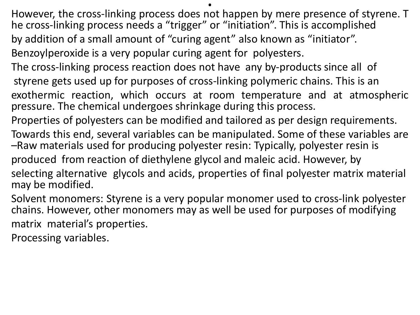However, the cross‐linking process does not happen by mere presence of styrene. T he cross‐linking process needs a "trigger" or "initiation". This is accomplished by addition of a small amount of "curing agent" also known as "initiator".

- Benzoylperoxide is a very popular curing agent for polyesters.
- The cross‐linking process reaction does not have any by‐products since all of styrene gets used up for purposes of cross‐linking polymeric chains. This is an
- exothermic reaction, which occurs at room temperature and at atmospheric pressure. The chemical undergoes shrinkage during this process.
- Properties of polyesters can be modified and tailored as per design requirements.
- Towards this end, several variables can be manipulated. Some of these variables are –Raw materials used for producing polyester resin: Typically, polyester resin is
- produced from reaction of diethylene glycol and maleic acid. However, by
- selecting alternative glycols and acids, properties of final polyester matrix material may be modified.
- Solvent monomers: Styrene is a very popular monomer used to cross‐link polyester chains. However, other monomers may as well be used for purposes of modifying matrix material's properties.
- Processing variables.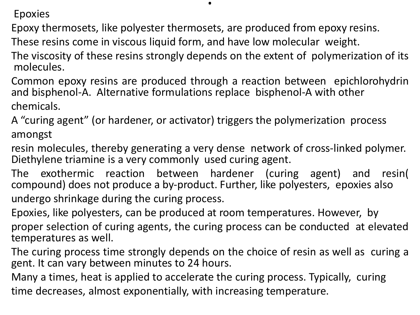Epoxies

Epoxy thermosets, like polyester thermosets, are produced from epoxy resins.

These resins come in viscous liquid form, and have low molecular weight.

The viscosity of these resins strongly depends on the extent of polymerization of its molecules.

.

Common epoxy resins are produced through a reaction between epichlorohydrin and bisphenol‐A. Alternative formulations replace bisphenol‐A with other chemicals.

A "curing agent" (or hardener, or activator) triggers the polymerization process amongst

resin molecules, thereby generating a very dense network of cross‐linked polymer. Diethylene triamine is a very commonly used curing agent.

The exothermic reaction between hardener (curing agent) and resin( compound) does not produce a by‐product. Further, like polyesters, epoxies also undergo shrinkage during the curing process.

Epoxies, like polyesters, can be produced at room temperatures. However, by proper selection of curing agents, the curing process can be conducted at elevated temperatures as well.

The curing process time strongly depends on the choice of resin as well as curing a gent. It can vary between minutes to 24 hours.

Many a times, heat is applied to accelerate the curing process. Typically, curing time decreases, almost exponentially, with increasing temperature.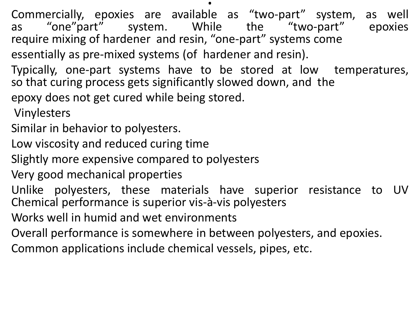Commercially, epoxies are available as "two-part" system, as well<br>as "one"part" system. While the "two-part" epoxies as "one"part" system. While require mixing of hardener and resin, "one‐part" systems come essentially as pre‐mixed systems (of hardener and resin).

.

Typically, one‐part systems have to be stored at low temperatures, so that curing process gets significantly slowed down, and the epoxy does not get cured while being stored.

Vinylesters

- Similar in behavior to polyesters.
- Low viscosity and reduced curing time
- Slightly more expensive compared to polyesters
- Very good mechanical properties
- Unlike polyesters, these materials have superior resistance to UV Chemical performance is superior vis‐à‐vis polyesters
- Works well in humid and wet environments
- Overall performance is somewhere in between polyesters, and epoxies.
- Common applications include chemical vessels, pipes, etc.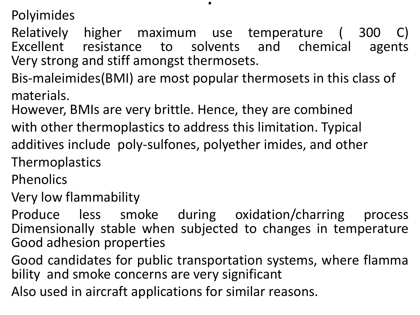Polyimides

Relatively higher maximum use temperature ( 300 C) Excellent resistance to solvents and chemical agents Very strong and stiff amongst thermosets.

- Bis-maleimides(BMI) are most popular thermosets in this class of materials.
- However, BMIs are very brittle. Hence, they are combined
- with other thermoplastics to address this limitation. Typical additives include poly-sulfones, polyether imides, and other
- **Thermoplastics**
- Phenolics
- Very low flammability
- Produce less smoke during oxidation/charring process Dimensionally stable when subjected to changes in temperature Good adhesion properties
- Good candidates for public transportation systems, where flamma bility and smoke concerns are very significant
- Also used in aircraft applications for similar reasons.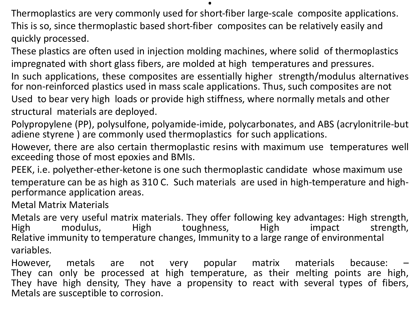Thermoplastics are very commonly used for short‐fiber large‐scale composite applications. This is so, since thermoplastic based short‐fiber composites can be relatively easily and quickly processed.

.

These plastics are often used in injection molding machines, where solid of thermoplastics impregnated with short glass fibers, are molded at high temperatures and pressures.

In such applications, these composites are essentially higher strength/modulus alternatives for non-reinforced plastics used in mass scale applications. Thus, such composites are not Used to bear very high loads or provide high stiffness, where normally metals and other structural materials are deployed.

Polypropylene (PP), polysulfone, polyamide‐imide, polycarbonates, and ABS (acrylonitrile‐but adiene styrene ) are commonly used thermoplastics for such applications.

However, there are also certain thermoplastic resins with maximum use temperatures well exceeding those of most epoxies and BMIs.

PEEK, i.e. polyether‐ether‐ketone is one such thermoplastic candidate whose maximum use temperature can be as high as 310 C. Such materials are used in high‐temperature and high‐ performance application areas.

Metal Matrix Materials

Metals are very useful matrix materials. They offer following key advantages: High strength, High modulus, High toughness, High impact strength, Relative immunity to temperature changes, Immunity to a large range of environmental variables.

However, metals are not very popular matrix materials because: – They can only be processed at high temperature, as their melting points are high, They have high density, They have a propensity to react with several types of fibers, Metals are susceptible to corrosion.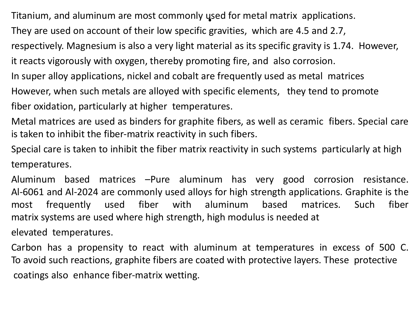Titanium, and aluminum are most commonly used for metal matrix applications.

They are used on account of their low specific gravities, which are 4.5 and 2.7,

respectively. Magnesium is also a very light material as its specific gravity is 1.74. However,

it reacts vigorously with oxygen, thereby promoting fire, and also corrosion.

In super alloy applications, nickel and cobalt are frequently used as metal matrices

However, when such metals are alloyed with specific elements, they tend to promote

fiber oxidation, particularly at higher temperatures.

Metal matrices are used as binders for graphite fibers, as well as ceramic fibers. Special care is taken to inhibit the fiber‐matrix reactivity in such fibers.

Special care is taken to inhibit the fiber matrix reactivity in such systems particularly at high temperatures.

Aluminum based matrices –Pure aluminum has very good corrosion resistance. Al‐6061 and Al‐2024 are commonly used alloys for high strength applications. Graphite is the most frequently used fiber with aluminum based matrices. Such fiber matrix systems are used where high strength, high modulus is needed at

elevated temperatures.

Carbon has a propensity to react with aluminum at temperatures in excess of 500 C. To avoid such reactions, graphite fibers are coated with protective layers. These protective coatings also enhance fiber‐matrix wetting.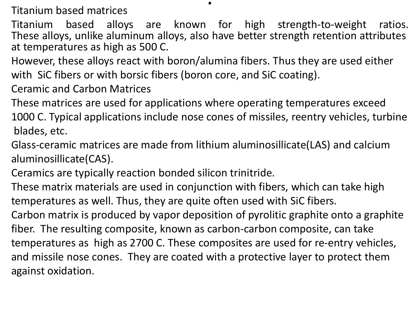Titanium based matrices

Titanium based alloys are known for high strength‐to‐weight ratios. These alloys, unlike aluminum alloys, also have better strength retention attributes at temperatures as high as 500 C.

.

However, these alloys react with boron/alumina fibers. Thus they are used either with SiC fibers or with borsic fibers (boron core, and SiC coating).

Ceramic and Carbon Matrices

These matrices are used for applications where operating temperatures exceed 1000 C. Typical applications include nose cones of missiles, reentry vehicles, turbine blades, etc.

Glass‐ceramic matrices are made from lithium aluminosillicate(LAS) and calcium aluminosillicate(CAS).

Ceramics are typically reaction bonded silicon trinitride.

These matrix materials are used in conjunction with fibers, which can take high temperatures as well. Thus, they are quite often used with SiC fibers.

Carbon matrix is produced by vapor deposition of pyrolitic graphite onto a graphite fiber. The resulting composite, known as carbon‐carbon composite, can take temperatures as high as 2700 C. These composites are used for re‐entry vehicles, and missile nose cones. They are coated with a protective layer to protect them against oxidation.